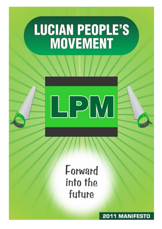# **LUCIAN PEOPLE'S<br>MOVEMENT**



# Forward into the future

**2011 MANIFESTO**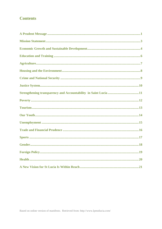## **Contents**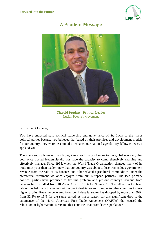

# **A Prudent Message**

<span id="page-2-0"></span>

**Therold Prudent - Political Leader** Lucian People's Movement

Fellow Saint Lucians,

You have entrusted past political leadership and governance of St. Lucia to the major political parties because you believed that based on their promises and development models for our country, they were best suited to enhance our national agenda. My fellow citizens, I applaud you.

The 21st century however, has brought new and major changes to the global economy that your once trusted leadership did not have the capacity to comprehensively examine and effectively manage. Since 1995, when the World Trade Organization changed many of its trade rules your then leader knew that our country was about to lose tremendous government revenue from the sale of its bananas and other related agricultural commodities under the preferential treatment we once enjoyed from our European partners. The two primary political parties have promised to fix this problem and yet our country's revenue from bananas has dwindled from 10.7% of GDP in 1996 to 5% in 2010. The attraction to cheap labour has led many businesses within our industrial sector to move to other countries to seek higher profits. Revenue generated from our industrial sector has dropped by more than 50%, from 32.3% to 15% for the same period. A major reason for this significant drop is the emergence of the North American Free Trade Agreement (NAFTA) that caused the relocation of light manufacturers to other countries that provide cheaper labour.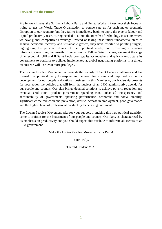

My fellow citizens, the St. Lucia Labour Party and United Workers Party kept their focus on trying to get the World Trade Organization to compensate us for such major economic disruption to our economy but they fail to immediately begin to apply the type of labour and capital productivity restructuring needed to attract the transfer of technology in sectors where we have global competitive advantage. Instead of taking these initial fundamental steps to achieve economic recovery and sustainable growth, they have resorted to pointing fingers, highlighting the personal affairs of their political rivals, and providing misleading information regarding the growth of our economy. Fellow Saint Lucians, we are at the edge of an economic cliff and if Saint Lucia does get its act together and quickly restructure its government to conform to policies implemented at global negotiating platforms in a timely manner we will lose even more privileges.

The Lucian People's Movement understands the severity of Saint Lucia's challenges and has formed this political party to respond to the need for a new and improved vision for development for our people and national business. In this Manifesto, our leadership presents for your action the policies that will form the nucleus of an LPM administrative agenda for our people and country. Our plan brings detailed solutions to achieve poverty reduction and eventual eradication, prudent government spending cuts, enhanced transparency and accountability of governments operating performance, economic and social stability, significant crime reduction and prevention, drastic increase in employment, good governance and the highest level of professional conduct by leaders in government.

The Lucian People's Movement asks for your support in making this new political transition come to fruition for the betterment of our people and country. Our Party is characterized by its emphasis on productivity and you should expect this attribute to infiltrate all sectors of an LPM government.

Make the Lucian People's Movement your Party!

Yours truly,

Therold Prudent M.A.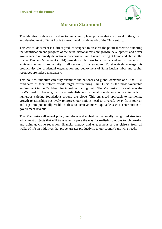

# **Mission Statement**

<span id="page-4-0"></span>This Manifesto sets out critical sector and country level policies that are pivotal to the growth and development of Saint Lucia to meet the global demands of the 21st century.

This critical document is a direct product designed to dissolve the political rhetoric hindering the identification and progress of the actual national mission; growth, development and better governance. To remedy the national concerns of Saint Lucians living at home and abroad, the Lucian People's Movement (LPM) provides a platform for an enhanced set of demands to achieve maximum productivity in all sectors of our economy. To effectively manage this productivity pie, prudential organization and deployment of Saint Lucia's labor and capital resources are indeed mandatory.

This political initiative carefully examines the national and global demands of all the LPM candidates as their reform efforts target restructuring Saint Lucia as the most favourable environment in the Caribbean for investment and growth. The Manifesto fully embraces the LPM's need to foster growth and establishment of local foundations as counterparts to numerous existing foundations around the globe. This enhanced approach to harmonize growth relationships positively reinforces our nations need to diversify away from tourism and tap into potentially viable outlets to achieve more equitable sector contribution to government revenue.

This Manifesto will reveal policy initiatives and embark on nationally recognized structural adjustment projects that will transparently pave the way for realistic solutions to job creation and training, crime reduction, financial literacy and engagement of our citizens from all walks of life on initiatives that propel greater productivity to our country's growing needs.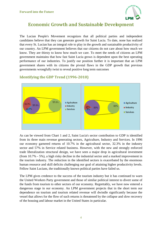

# <span id="page-5-0"></span>**Economic Growth and Sustainable Development**

The Lucian People's Movement recognizes that all political parties and independent candidates believe that they can generate growth for Saint Lucia. To date, none has realized that every St. Lucian has an integral role to play in the growth and sustainable productivity of our country. An LPM government believes that our citizens do not care about how much we know. They are thirsty to know how much we care. To meet the needs of citizens an LPM government maintains that how fast Saint Lucia grows is dependent upon the best operating performance of our industries. To justify our position further it is important that an LPM government shares with its citizens the pivotal flaws in the GDP growth that previous governments wrongfully twist to reveal positive long term outcomes



#### **Identifying the GDP Trend (1996-2010)**

As can be viewed from Chart 1 and 2, Saint Lucia's sector contribution to GDP is identified from its three main revenue generating sectors, Agriculture, Industry and Services. In 1996 our economy garnered returns of 10.7% in the agricultural sector, 32.3% in the industry sector and 57% in Service related business. However, with the new and strongly enforced trade liberalization structural design, we have seen a major drop in agricultural investment (from 10.7% - 5%), a high risky decline in the industrial sector and a marked improvement in the tourism industry. The reduction in the identified sectors is exacerbated by the enormous human resource and skill deficits challenging our goal of attaining higher productivity levels. Fellow Saint Lucians, the traditionally known political parties have failed us.

The LPM gives credence to the success of the tourism industry but it has continued to warn the United Workers Party government and those of similar political interest to divert some of the funds from tourism to other sectors of our economy. Regrettably, we have now entered a dangerous stage in our economy. An LPM government projects that in the short term our dependence on tourism and tourism related revenue will dwindle significantly because the vessel that allows for the flow of such returns is threatened by the collapse and slow recovery of the housing and labour market in the United States in particular.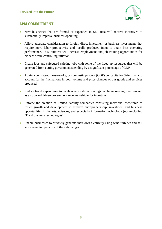

- New businesses that are formed or expanded in St. Lucia will receive incentives to substantially improve business operating
- Afford adequate consideration to foreign direct investment or business investments that require more labor productivity and locally produced input to attain best operating performance. This initiative will increase employment and job training opportunities for citizens while controlling inflation
- Create jobs and safeguard existing jobs with some of the freed up resources that will be generated from cutting government spending by a significant percentage of GDP
- Attain a consistent measure of gross domestic product (GDP) per capita for Saint Lucia to account for the fluctuations in both volume and price changes of our goods and services produced.
- Reduce fiscal expenditure to levels where national savings can be increasingly recognized as an upward driven government revenue vehicle for investment
- Enforce the creation of limited liability companies consisting individual ownership to foster growth and development in creative entrepreneurship, investment and business opportunities in the arts, sciences, and especially information technology (not excluding IT and business technologies)
- Enable businesses to privately generate their own electricity using wind turbines and sell any excess to operators of the national grid.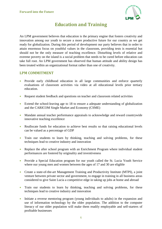

# **Education and Training**

<span id="page-7-0"></span>An LPM government believes that education is the primary engine that fosters creativity and innovation among our youth to secure a more productive future for our country as we get ready for globalization. During this period of development our party believes that in order to attain enormous focus on youthful values in the classroom, providing tests is essential but should not be the only measure of teaching excellence. Disturbing levels of relative and extreme poverty on the island is a social problem that needs to be cured before education can take full root. An LPM government has observed that human attitude and ability design has been treated within an organizational format rather than one of creativity.

- Provide early childhood education in all large communities and enforce quarterly evaluations of classroom activities via video at all educational levels prior tertiary education.
- Request student feedback and questions on teacher and classroom related activities
- Extend the school-leaving age to 18 to ensure a adequate understanding of globalization and the CARICOM Single Market and Economy (CSME)
- Mandate annual teacher performance appraisals to acknowledge and reward countrywide innovative teaching excellence
- Reallocate funds for education to achieve best results so that raising educational levels can be valued as a percentage of GDP
- Train our students to learn by thinking, teaching and solving problems, for these techniques lead to creative industry and innovation
- Replace the after school program with an Enrichment Program where individual student performances are fostered by originality and inventiveness
- Provide a Special Education program for our youth called the St. Lucia Youth Service where our young men and women between the ages of 17 and 30 are eligible
- Create a state-of-the-art Management Training and Productivity Institute (MTPI), a joint venture between private sector and government, to engage in training in all business areas considered to give Saint Lucia a competitive edge in taking up jobs at home and abroad
- Train our students to learn by thinking, teaching and solving problems, for these techniques lead to creative industry and innovation
- Initiate a reverse mentoring program (young individuals to adults) in the expansion and use of information technology by the older population. The addition to the computer literacy of our older population will make them readily employable and self-starters of profitable businesses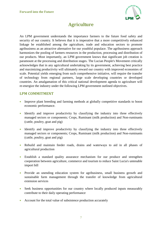

# **Agriculture**

<span id="page-8-0"></span>An LPM government understands the importance farmers to the future food safety and security of our country. It believes that it is imperative that a more competitively enhanced linkage be established among the agriculture, trade and education sectors to promote agribusiness as an attractive alternative for our youthful populace. The agribusiness approach harmonizes the pooling of farmers resources in the production, processing and distribution of our products. Most importantly, an LPM government knows that significant job creation is paramount at the processing and distribution stages. The Lucian People's Movement critically acknowledges that in any agricultural undertaking by its government, achieving best practice and maximizing productivity will ultimately reward our country with improved economies of scale. Potential yields emerging from such comprehensive initiative, will require the transfer of technology from regional partners, large scale developing countries or developed countries. An amalgamation of this critical national development agenda to agriculture will re-energize the industry under the following LPM government outlined objectives.

- Improve plant breeding and farming methods at globally competitive standards to boost economic performance.
- Identify and improve productivity by classifying the industry into three effectively managed sectors or components; Crops, Ruminant (milk production) and Non-ruminants (cattle, poultry, goat and pig)
- Identify and improve productivity by classifying the industry into three effectively managed sectors or components; Crops, Ruminant (milk production) and Non-ruminants (cattle, poultry, goat and pig)
- Rebuild and maintain feeder roads, drains and waterways to aid in all phases of agricultural production
- Establish a standard quality assurance mechanism for our produce and strengthen cooperation between agriculture, commerce and tourism to reduce Saint Lucia's untenable import bill
- Provide an unending education system for agribusiness, small business growth and sustainable farm management through the transfer of knowledge from agricultural extension services
- Seek business opportunities for our country where locally produced inputs measurably contribute to their daily operating performance
- Account for the total value of subsistence production accurately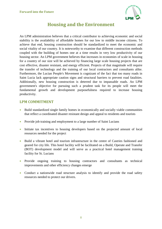

# **Housing and the Environment**

<span id="page-9-0"></span>An LPM administration believes that a critical contributor to achieving economic and social stability is the availability of affordable homes for our low to middle income citizens. To achieve that end, housing construction should be standardized to meet the economic and social vitality of our country. It is noteworthy to examine that different construction methods coupled with the building of homes one at a time results in very low productivity of our housing sector. An LPM government believes that increases in economies of scale in housing for a country of our size will be achieved by financing large scale housing projects that are cost effective, disaster resistant, and energy efficient. Projects of that magnitude will require the transfer of technology and the training of our local contractors and consultants alike. Furthermore, the Lucian People's Movement is cognizant of the fact that too many roads in Saint Lucia lack appropriate caution signs and structural barriers to prevent road fatalities. Additionally, new housing construction is deterred due to impassable roads. An LPM government's objective for pursuing such a prudent task for its people will meet the fundamental growth and development purposefulness required to increase housing productivity.

- Build standardized single family homes in economically and socially viable communities that reflect a coordinated disaster resistant design and appeal to residents and tourists
- Provide job training and employment to a large number of Saint Lucians
- Initiate tax incentives to housing developers based on the projected amount of local resources needed for the project
- Build a vibrant hotel and tourism infrastructure in the centre of Castries fashioned and geared for city life. This hotel facility will be facilitated on a Build, Operate and Transfer (BOT) development model and will serve as a practical hotel management training facility for St. Lucians
- Provide ongoing training to housing contractors and consultants as technical improvements and other efficiency changes emerge
- Conduct a nationwide road structure analysis to identify and provide the road safety resources needed to protect our drivers.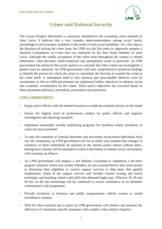

# **Crime and National Security**

<span id="page-10-0"></span>The Lucian People's Movement is cautiously disturbed by the escalating crime situation in Saint Lucia. It believes that a very complex interconnectedness among social, moral, psychological and economic problems is the result of such social instability. As a first step in the direction of solving the crime issue, the LPM was the first party to vigorously propose a National Consultation on Crime that was embraced by the then Prime Minister of Saint Lucia. Although the readily acceptance of the crime issue throughout the country is related joblessness, semi-educated, under-employed and unemployed youth in particular, an LPM government has advanced this social analysis to conclude that when crimes are investigated, a pattern must be analyzed. An LPM government will seek comprehensive analytical findings to identify the process by which the crime is committed, the decision to commit the crime or the crime itself. A subsequent trend to this immoral and unacceptable behavior must be ascertained, so that an LPM government can implement further objectives to enhance social and economic revitalization on the island. These policy objectives are executed based on three permanent pathways, prevention, prosecution and protection.

- Equip police officers with the needed resources to eradicate criminal activity on the island
- Ensure the highest level of professional conduct by police officers and improve investigation and reporting standards
- Implement sustainable socially mobilizing programs for residence where incidences of crime are more prevalent
- To ease the transition of criminal deportees and previously incarcerated individuals back into the community, an LPM government will for an entire year mandate that changes of residence of these individuals be reported to the nearest police station without delay. Immigration reforms will be amended to enforce that failure to submit correct information will constitute an offence.
- An LPM government will employ a Jail Release Consultant to implement a Re-entry program initiative where non-violent offenders are pre-screened before they leave prison to determine their eligibility to receive support services to help them find gainful employment. Some of the support services will include; resume writing, job search techniques and teaching valued work skills that demands higher pay. Effective 30, 60 and 90 day on the job monitoring will be conducted to ensure consistency in ex-offenders commitment to the programme
- Provide incentives to business and public transportation vehicle owners to install surveillance cameras
- With the above policies put in place an LPM government will monitor and measure the efficiency of community specific-programs with complex crime analysis logistics.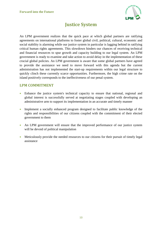

# **Justice System**

<span id="page-11-0"></span>An LPM government realizes that the quick pace at which global partners are ratifying agreements on international platforms to foster global civil, political, cultural, economic and social stability is alarming while our justice system in particular is lagging behind in ratifying critical human rights agreements. This slowdown hinders our chances of receiving technical and financial resources to spur growth and capacity building to our legal system. An LPM government is ready to examine and take action to avoid delay in the implementation of these crucial global policies. An LPM government is aware that some global partners have agreed to provide the assistance we need to move forward with this agenda but the current administration has not implemented the start-up requirements within our legal structure to quickly clinch these currently scarce opportunities. Furthermore, the high crime rate on the island positively corresponds to the ineffectiveness of our penal system.

- Enhance the justice system's technical capacity to ensure that national, regional and global interest is successfully served at negotiating stages coupled with developing an administrative arm to support its implementation in an accurate and timely manner
- Implement a socially enhanced program designed to facilitate public knowledge of the rights and responsibilities of our citizens coupled with the commitment of their elected government to them
- An LPM government will ensure that the improved performance of our justice system will be devoid of political manipulation
- Meticulously provide the needed resources to our citizens for their pursuit of timely legal assistance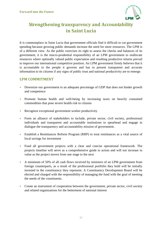

# <span id="page-12-0"></span>**Strengthening transparency and Accountability in Saint Lucia**

It is commonplace in Saint Lucia that government officials find it difficult to cut government spending because growing public demands increase the need for more resources. The LPM is of a different view. As the public exercises its right to assess the checks and balances of its government, it is the macro-prudential responsibility of an LPM government to reallocate resources where optimally valued public expectation and resulting productive returns prevail to improve our international competitive position. An LPM government firmly believes that it is accountable to the people it governs and has to present transparent and accurate information to its citizens if any signs of public trust and national productivity are to emerge.

- Downsize our government to an adequate percentage of GDP that does not hinder growth and competence
- Promote human health and well-being by increasing taxes on heavily consumed commodities that pose severe health risk to citizens
- Recognize exceptional government worker productivity
- Form an alliance of stakeholders to include, private sector, civil society, professional individuals and transparent and accountable institutions to spearhead and engage in dialogue the transparency and accountability mission of government.
- Establish a Remittances Reform Program (RRP) to treat remittances as a vital source of local savings for investment
- Fund all government projects with a clear and concise operational framework. The projects timeline will serve as a comprehensive guide to action and will not increase in value as the project moves from one stage to the next
- A minimum of 50% of all cash flows received by ministers of an LPM government from foreign counterparts, as a result of the professional portfolio they hold will be initially invested in the constituency they represent. A Constituency Development Board will be elected and charged with the responsibility of managing the fund with the goal of meeting the needs of the constituents.
- Create an instrument of cooperation between the government, private sector, civil society and related organizations for the betterment of national interest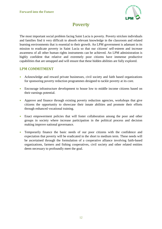

### **Poverty**

<span id="page-13-0"></span>The most important social problem facing Saint Lucia is poverty. Poverty stricken individuals and families find it very difficult to absorb relevant knowledge in the classroom and related learning environments that is essential to their growth. An LPM government is adamant in its mission to eradicate poverty in Saint Lucia so that our citizens' self-esteem and increase awareness of all other human rights instruments can be achieved. An LPM administration is highly confident that relative and extremely poor citizens have immense productive capabilities that are untapped and will ensure that these hidden abilities are fully explored.

- Acknowledge and reward private businesses, civil society and faith based organizations for sponsoring poverty reduction programmes designed to tackle poverty at its core.
- Encourage infrastructure development to house low to middle income citizens based on their earnings potential.
- Approve and finance through existing poverty reduction agencies, workshops that give citizens the opportunity to showcase their innate abilities and promote their efforts through enhanced vocational training.
- Enact empowerment policies that will foster collaboration among the poor and other groups in society where increase participation in the political process and decision making improve national governance.
- Temporarily finance the basic needs of our poor citizens with the confidence and expectation that poverty will be eradicated in the short to medium term. These needs will be ascertained through the formulation of a cooperative alliance involving faith-based organizations, farmers and fishing cooperatives, civil society and other related entities deem necessary to profoundly meet the goal.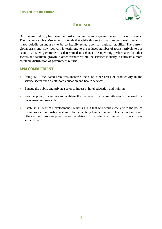

# **Tourism**

<span id="page-14-0"></span>Our tourism industry has been the most important revenue generation sector for our country. The Lucian People's Movement contends that while this sector has done very well overall, it is too volatile an industry to be so heavily relied upon for national stability. The current global crisis and slow recovery is testimony to the reduced number of tourist arrivals to our island. An LPM government is determined to enhance the operating performance of other sectors and facilitate growth in other avenues within the services industry to cultivate a more equitable distribution of government returns.

- Using ICT- facilitated resources increase focus on other areas of productivity in the service sector such as offshore education and health services
- Engage the public and private sector to invest in hotel education and training
- Provide policy incentives to facilitate the increase flow of remittances to be used for investment and research
- Establish a Tourism Development Council (TDC) that will work closely with the police commissioner and justice system to fundamentally handle tourism related complaints and offences, and propose policy recommendations for a safer environment for our citizens and visitors.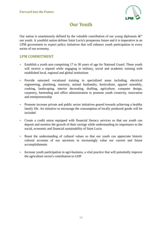

# **Our Youth**

<span id="page-15-0"></span>Our nation is unanimously defined by the valuable contribution of our young diplomats  $\hat{a} \in \hat{C}$ our youth. A youthful nation defines Saint Lucia's prosperous future and it is imperative in an LPM government to expect policy initiatives that will enhance youth participation in every sector of our economy.

- Establish a youth arm comprising 17 to 30 years of age for National Guard. These youth will receive a stipend while engaging in military, social and academic training with established local, regional and global institutions
- Provide saturated vocational training in specialized areas including, electrical engineering, plumbing, masonry, animal husbandry, horticulture, apparel assembly, cooking, landscaping, interior decorating, drafting, agriculture, computer design, carpentry, bartending and office administration to promote youth creativity, innovation and entrepreneurship
- Promote increase private and public sector initiatives geared towards achieving a healthy family life. An initiative to encourage the consumption of locally produced goods will be included
- Create a credit union equipped with financial literacy services so that our youth can deposit and monitor the growth of their savings while understanding its importance to the social, economic and financial sustainability of Saint Lucia
- Boost the understanding of cultural values so that our youth can appreciate historic cultural accounts of our ancestors to increasingly value our current and future accomplishments
- Increase youth participation in agri-business, a vital practice that will potentially improve the agriculture sector's contribution to GDP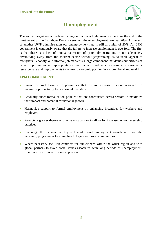

# **Unemployment**

<span id="page-16-0"></span>The second largest social problem facing our nation is high unemployment. At the end of the most recent St. Lucia Labour Party government the unemployment rate was 20%. At the end of another UWP administration our unemployment rate is still at a high of 20%. An LPM government is cautiously aware that the failure to increase employment is two-fold. The first is that there is a lack of innovative vision of prior administrations in not adequately diversifying away from the tourism sector without jeopardizing its valuable appeal to foreigners. Secondly, our informal job market is a large component that denies our citizens of career opportunities and appropriate income that will lead to an increase in government's resource base and improvements to its macroeconomic position in a more liberalized world.

- Pursue external business opportunities that require increased labour resources to maximize productivity for successful operation
- Gradually enact formalization policies that are coordinated across sectors to maximize their impact and potential for national growth
- Harmonize support to formal employment by enhancing incentives for workers and employers
- Promote a greater degree of diverse occupations to allow for increased entrepreneurship practices
- Encourage the reallocation of jobs toward formal employment growth and enact the necessary programmes to strengthen linkages with rural communities.
- Where necessary seek job contracts for our citizens within the wider region and with global partners to avoid social issues associated with long periods of unemployment. Remittances will increases in the process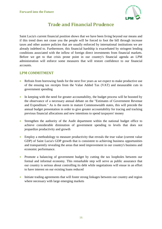

# **Trade and Financial Prudence**

<span id="page-17-0"></span>Saint Lucia's current financial position shows that we have been living beyond our means and if this trend does not cease you the people will be forced to foot the bill through increase taxes and other austere policies that are usually enforced by international institutions we are already indebted to. Furthermore, this financial hardship is exacerbated by stringent lending conditions associated with the inflow of foreign direct investments from financial markets. Before we get to that crisis prone point in our country's financial agenda an LPM administration will enforce some measures that will restore confidence to our financial accounts.

- Refrain from borrowing funds for the next five years as we expect to make productive use of the ensuing tax receipts from the Value Added Tax (VAT) and measurable cuts in government spending
- In keeping with the need for greater accountability, the budget process will be boosted by the observance of a necessary annual debate on the "Estimates of Government Revenue and Expenditure." As is the norm in mature Commonwealth states, this will precede the annual budget presentation in order to give greater accountability for tracing and tracking previous financial allocations and new intentions to spend taxpayers' money
- Strengthen the authority of the Audit department within the national budget office to achieve considerable diminution of government spending to levels that does not jeopardize productivity and growth
- Employ a methodology to measure productivity that reveals the true value (current value GDP) of Saint Lucia's GDP growth that is consistent to achieving business opportunities and transparently revealing the areas that need improvement in our country's business and economic performance.
- Promote a balancing of government budget by cutting the tax loopholes between our formal and informal economy. This remarkable step will serve as public assurance that our country is serious about controlling its debt while negotiations will ensue in an effort to have interest on our existing loans reduced
- Initiate trading agreements that will foster strong linkages between our country and region where necessary with large emerging markets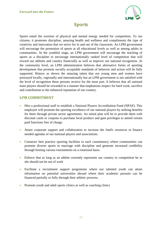

# **Sports**

<span id="page-18-0"></span>Sports entail the exertion of physical and mental energy needed for competition. To our citizens, it promotes discipline, amazing health and wellness and compliments the type of creativity and innovation that we strive for in and out of the classroom. An LPM government will encourage the promotion of sports at all educational levels as well as among adults in communities. At the youthful stage, an LPM government will encourage the teaching of sports as a discipline to encourage internationally ranked level of competition that will reward our athletes and country financially as well as improve our national recognition. At the community level, an LPM administration believes that alternative forms of sporting development that promote socially acceptable standards of behavior and action will be fully supported. History as shown the amazing talent that our young men and women have portrayed locally, regionally and internationally but an LPM government is not satisfied with the level of recognition these persons receive for the most part. It believes that all national team players should be rewarded in a manner that emphasizes respect for hard work, sacrifice and contribution to the enhanced reputation of our country.

- Hire a professional staff to establish a National Players Accreditation Fund (NPAF). This employee will promote the sporting excellence of our national players by seeking benefits for them through private sector agreements. An initial plan will be to provide them with discount cards or coupons to purchase local produce and gain privileges to attend certain paid functions free of charge.
- Attain corporate support and collaboration to increase the fund's resources to finance needed agendas of our national players and associations.
- Construct best practice sporting facilities in each constituency where communities can promote diverse sports in marriage with discipline and generate increased credibility through hosting various tournaments on a rotational basis.
- Enforce that as long as an athlete currently represents our country in competition he or she should not be out of work
- Facilitate a recruitment support programme where our talented youth can attain information on potential universities abroad where their academic pursuits can be financed partially or fully through their athletic prowess.
- Promote youth and adult sports clinics as well as coaching clinics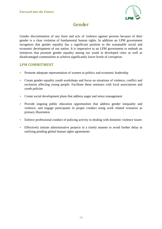

# **Gender**

<span id="page-19-0"></span>Gender discrimination of any form and acts of violence against persons because of their gender is a clear violation of fundamental human rights. In addition an LPM government recognizes that gender equality has a significant position to the sustainable social and economic development of our nation. It is imperative to an LPM government to embark on initiatives that promote gender equality among our youth in developed cities as well as disadvantaged communities to achieve significantly lower levels of corruption.

- Promote adequate representation of women in politics and economic leadership
- Create gender equality youth workshops and focus on situations of violence, conflict and exclusion affecting young people. Facilitate these seminars with local associations and youth policies
- Create social development plans that address anger and stress management
- Provide ongoing public education opportunities that address gender inequality and violence, and engage participants in proper conduct using work related scenarios as primary illustration
- Enforce professional conduct of policing activity in dealing with domestic violence issues
- Effectively initiate administrative projects in a timely manner to avoid further delay in ratifying pending global human rights agreements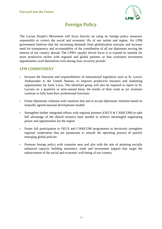

# **Foreign Policy**

<span id="page-20-0"></span>The Lucian People's Movement will focus heavily on using its foreign policy measures responsibly to correct the social and economic ills of our nation and region. An LPM government believes that the increasing demands from globalization warrants and increase need for transparency and accountability of the contribution of all our diplomats serving the interest of our country abroad. The LPM's equally driven focus is to expand its outlook for more productive niches with regional and global partners so that consistent investment opportunities avail themselves even during slow recovery periods.

- Increase the functions and responsibilities of international legislators such as St. Lucia's Ambassador to the United Nations, to improve productive business and marketing opportunities for Saint Lucia. The identified group will also be required to report to St. Lucians on a quarterly or semi-annual basis, the results of their work as tax revenues continue to fully fund their professional functions
- Foster diplomatic relations with countries that aim to accept diplomatic relations based on mutually agreed national development models
- Strengthen further integrated efforts with regional partners (OECS & CARICOM) to take full advantage of the shared resource base needed to achieve meaningful negotiating power and opportunities for the region
- Foster full participation in OECS and CARICOM programmes to decisively strengthen regional cooperation that are paramount to smooth the operating process of quickly emerging global policies
- Promote foreign policy with countries near and afar with the aim of attaining socially enhanced capacity building assistance, trade and investment support that target the enhancement of the social and economic well-being of our country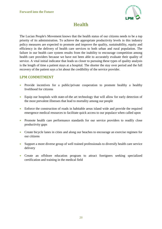

# **Health**

<span id="page-21-0"></span>The Lucian People's Movement knows that the health status of our citizens needs to be a top priority of its administration. To achieve the appropriate productivity levels in this industry policy measures are expected to promote and improve the quality, sustainability, equity and efficiency in the delivery of health care services to both urban and rural population. The failure in our health care system results from the inability to encourage competition among health care providers because we have not been able to accurately evaluate their quality of service. A vital initial indicator that leads us closer to pursuing these types of quality analysis is the length of time a patient stays at a hospital. The shorter the stay over period and the full recovery of the patient says a lot about the credibility of the service provider.

- Provide incentives for a public/private cooperation to promote healthy a healthy livelihood for citizens
- Equip our hospitals with state-of-the art technology that will allow for early detection of the most prevalent illnesses that lead to mortality among our people
- Enforce the construction of roads in habitable areas island wide and provide the required emergence medical resources to facilitate quick access to our populace when called upon
- Promote health care performance standards for our service providers to readily close productivity gaps
- Create bicycle lanes in cities and along our beaches to encourage an exercise regimen for our citizens
- Support a more diverse group of well trained professionals to diversify health care service delivery
- Create an offshore education program to attract foreigners seeking specialized certification and training in the medical field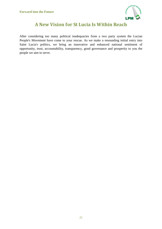

# **A New Vision for St Lucia Is Within Reach**

<span id="page-22-0"></span>After considering too many political inadequacies from a two party system the Lucian People's Movement have come to your rescue. As we make a resounding initial entry into Saint Lucia's politics, we bring an innovative and enhanced national sentiment of opportunity, trust, accountability, transparency, good governance and prosperity to you the people we aim to serve.